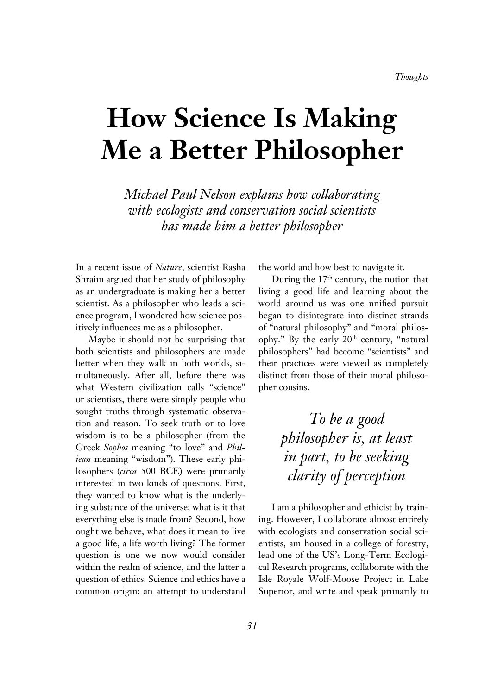# **How Science Is Making Me a Better Philosopher**

*Michael Paul Nelson explains how collaborating with ecologists and conservation social scientists has made him a better philosopher* 

In a recent issue of *Nature*, scientist Rasha Shraim argued that her study of philosophy as an undergraduate is making her a better scientist. As a philosopher who leads a science program, I wondered how science positively influences me as a philosopher.

Maybe it should not be surprising that both scientists and philosophers are made better when they walk in both worlds, simultaneously. After all, before there was what Western civilization calls "science" or scientists, there were simply people who sought truths through systematic observation and reason. To seek truth or to love wisdom is to be a philosopher (from the Greek *Sophos* meaning "to love" and *Philiean* meaning "wisdom"). These early philosophers (*circa* 500 BCE) were primarily interested in two kinds of questions. First, they wanted to know what is the underlying substance of the universe; what is it that everything else is made from? Second, how ought we behave; what does it mean to live a good life, a life worth living? The former question is one we now would consider within the realm of science, and the latter a question of ethics. Science and ethics have a common origin: an attempt to understand

the world and how best to navigate it.

During the 17<sup>th</sup> century, the notion that living a good life and learning about the world around us was one unified pursuit began to disintegrate into distinct strands of "natural philosophy" and "moral philosophy." By the early  $20<sup>th</sup>$  century, "natural philosophers" had become "scientists" and their practices were viewed as completely distinct from those of their moral philosopher cousins.

> *To be a good philosopher is, at least in part, to be seeking clarity of perception*

I am a philosopher and ethicist by training. However, I collaborate almost entirely with ecologists and conservation social scientists, am housed in a college of forestry, lead one of the US's Long-Term Ecological Research programs, collaborate with the Isle Royale Wolf-Moose Project in Lake Superior, and write and speak primarily to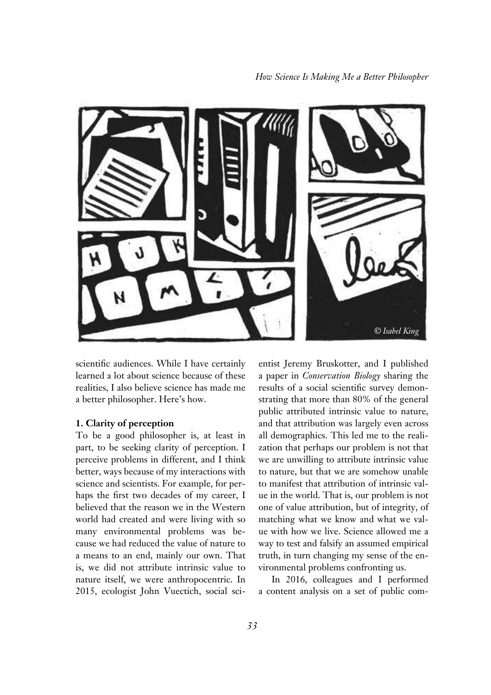

scientific audiences. While I have certainly learned a lot about science because of these realities, I also believe science has made me a better philosopher. Here's how.

### **1. Clarity of perception**

To be a good philosopher is, at least in part, to be seeking clarity of perception. I perceive problems in different, and I think better, ways because of my interactions with science and scientists. For example, for perhaps the first two decades of my career, I believed that the reason we in the Western world had created and were living with so many environmental problems was because we had reduced the value of nature to a means to an end, mainly our own. That is, we did not attribute intrinsic value to nature itself, we were anthropocentric. In 2015, ecologist John Vuectich, social sci-

entist Jeremy Bruskotter, and I published a paper in *Conservation Biology* sharing the results of a social scientific survey demonstrating that more than 80% of the general public attributed intrinsic value to nature, and that attribution was largely even across all demographics. This led me to the realization that perhaps our problem is not that we are unwilling to attribute intrinsic value to nature, but that we are somehow unable to manifest that attribution of intrinsic value in the world. That is, our problem is not one of value attribution, but of integrity, of matching what we know and what we value with how we live. Science allowed me a way to test and falsify an assumed empirical truth, in turn changing my sense of the environmental problems confronting us.

In 2016, colleagues and I performed a content analysis on a set of public com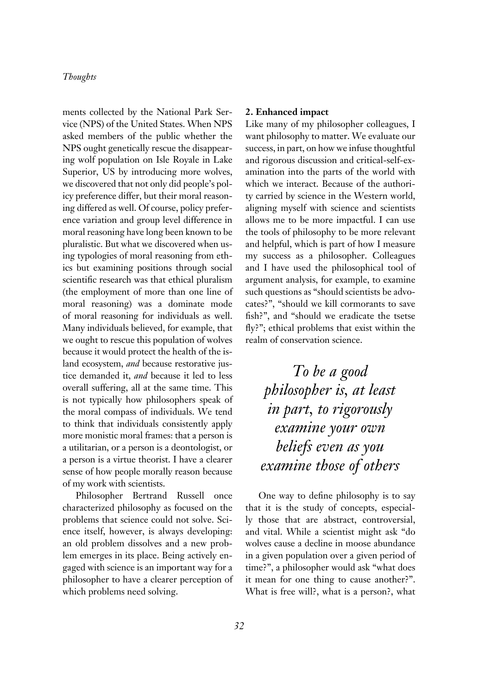ments collected by the National Park Service (NPS) of the United States. When NPS asked members of the public whether the NPS ought genetically rescue the disappearing wolf population on Isle Royale in Lake Superior, US by introducing more wolves, we discovered that not only did people's policy preference differ, but their moral reasoning differed as well. Of course, policy preference variation and group level difference in moral reasoning have long been known to be pluralistic. But what we discovered when using typologies of moral reasoning from ethics but examining positions through social scientific research was that ethical pluralism (the employment of more than one line of moral reasoning) was a dominate mode of moral reasoning for individuals as well. Many individuals believed, for example, that we ought to rescue this population of wolves because it would protect the health of the island ecosystem, *and* because restorative justice demanded it, *and* because it led to less overall suffering, all at the same time. This is not typically how philosophers speak of the moral compass of individuals. We tend to think that individuals consistently apply more monistic moral frames: that a person is a utilitarian, or a person is a deontologist, or a person is a virtue theorist. I have a clearer sense of how people morally reason because of my work with scientists.

Philosopher Bertrand Russell once characterized philosophy as focused on the problems that science could not solve. Science itself, however, is always developing: an old problem dissolves and a new problem emerges in its place. Being actively engaged with science is an important way for a philosopher to have a clearer perception of which problems need solving.

## **2. Enhanced impact**

Like many of my philosopher colleagues, I want philosophy to matter. We evaluate our success, in part, on how we infuse thoughtful and rigorous discussion and critical-self-examination into the parts of the world with which we interact. Because of the authority carried by science in the Western world, aligning myself with science and scientists allows me to be more impactful. I can use the tools of philosophy to be more relevant and helpful, which is part of how I measure my success as a philosopher. Colleagues and I have used the philosophical tool of argument analysis, for example, to examine such questions as "should scientists be advocates?", "should we kill cormorants to save fish?", and "should we eradicate the tsetse fly?"; ethical problems that exist within the realm of conservation science.

*To be a good philosopher is, at least in part, to rigorously examine your own beliefs even as you examine those of others*

One way to define philosophy is to say that it is the study of concepts, especially those that are abstract, controversial, and vital. While a scientist might ask "do wolves cause a decline in moose abundance in a given population over a given period of time?", a philosopher would ask "what does it mean for one thing to cause another?". What is free will?, what is a person?, what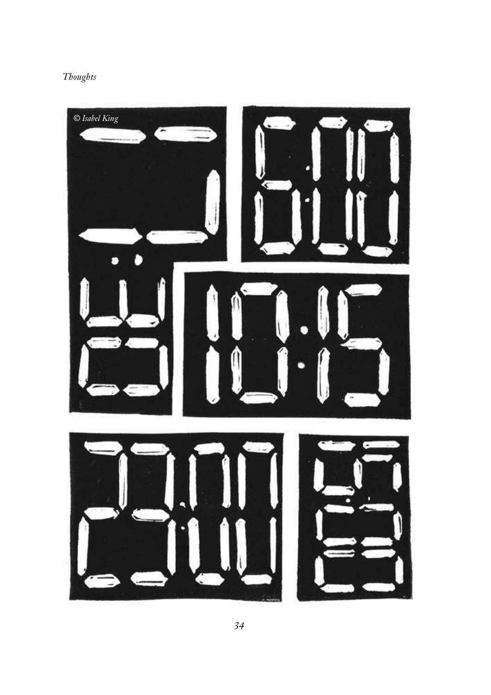

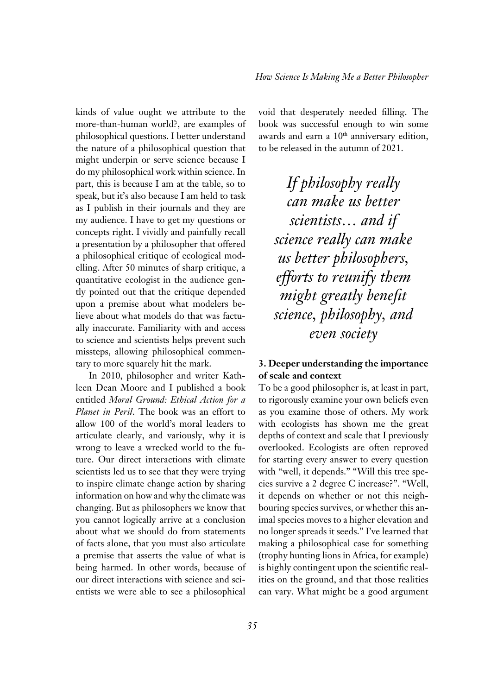kinds of value ought we attribute to the more-than-human world?, are examples of philosophical questions. I better understand the nature of a philosophical question that might underpin or serve science because I do my philosophical work within science. In part, this is because I am at the table, so to speak, but it's also because I am held to task as I publish in their journals and they are my audience. I have to get my questions or concepts right. I vividly and painfully recall a presentation by a philosopher that offered a philosophical critique of ecological modelling. After 50 minutes of sharp critique, a quantitative ecologist in the audience gently pointed out that the critique depended upon a premise about what modelers believe about what models do that was factually inaccurate. Familiarity with and access to science and scientists helps prevent such missteps, allowing philosophical commentary to more squarely hit the mark.

In 2010, philosopher and writer Kathleen Dean Moore and I published a book entitled *Moral Ground: Ethical Action for a Planet in Peril*. The book was an effort to allow 100 of the world's moral leaders to articulate clearly, and variously, why it is wrong to leave a wrecked world to the future. Our direct interactions with climate scientists led us to see that they were trying to inspire climate change action by sharing information on how and why the climate was changing. But as philosophers we know that you cannot logically arrive at a conclusion about what we should do from statements of facts alone, that you must also articulate a premise that asserts the value of what is being harmed. In other words, because of our direct interactions with science and scientists we were able to see a philosophical

void that desperately needed filling. The book was successful enough to win some awards and earn a 10<sup>th</sup> anniversary edition, to be released in the autumn of 2021.

*If philosophy really can make us better scientists… and if science really can make us better philosophers, efforts to reunify them*  might greatly benefit *science, philosophy, and even society*

## **3. Deeper understanding the importance of scale and context**

To be a good philosopher is, at least in part, to rigorously examine your own beliefs even as you examine those of others. My work with ecologists has shown me the great depths of context and scale that I previously overlooked. Ecologists are often reproved for starting every answer to every question with "well, it depends." "Will this tree species survive a 2 degree C increase?". "Well, it depends on whether or not this neighbouring species survives, or whether this animal species moves to a higher elevation and no longer spreads it seeds." I've learned that making a philosophical case for something (trophy hunting lions in Africa, for example) is highly contingent upon the scientific realities on the ground, and that those realities can vary. What might be a good argument